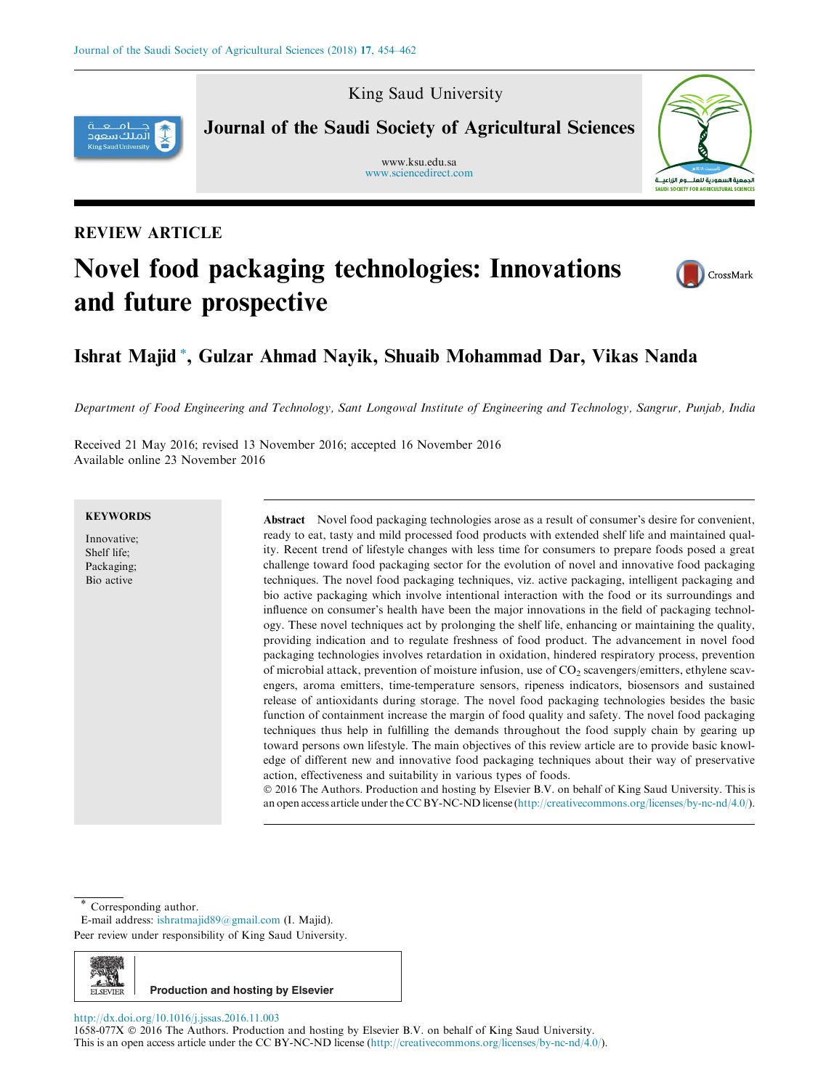King Saud University



Journal of the Saudi Society of Agricultural Sciences

www.ksu.edu.sa [www.sciencedirect.com](http://www.sciencedirect.com/science/journal/1658077X)



# REVIEW ARTICLE

# Novel food packaging technologies: Innovations and future prospective



# Ishrat Majid \*, Gulzar Ahmad Nayik, Shuaib Mohammad Dar, Vikas Nanda

Department of Food Engineering and Technology, Sant Longowal Institute of Engineering and Technology, Sangrur, Punjab, India

Received 21 May 2016; revised 13 November 2016; accepted 16 November 2016 Available online 23 November 2016

### **KEYWORDS**

Innovative; Shelf life; Packaging; Bio active

Abstract Novel food packaging technologies arose as a result of consumer's desire for convenient, ready to eat, tasty and mild processed food products with extended shelf life and maintained quality. Recent trend of lifestyle changes with less time for consumers to prepare foods posed a great challenge toward food packaging sector for the evolution of novel and innovative food packaging techniques. The novel food packaging techniques, viz. active packaging, intelligent packaging and bio active packaging which involve intentional interaction with the food or its surroundings and influence on consumer's health have been the major innovations in the field of packaging technology. These novel techniques act by prolonging the shelf life, enhancing or maintaining the quality, providing indication and to regulate freshness of food product. The advancement in novel food packaging technologies involves retardation in oxidation, hindered respiratory process, prevention of microbial attack, prevention of moisture infusion, use of  $CO<sub>2</sub>$  scavengers/emitters, ethylene scavengers, aroma emitters, time-temperature sensors, ripeness indicators, biosensors and sustained release of antioxidants during storage. The novel food packaging technologies besides the basic function of containment increase the margin of food quality and safety. The novel food packaging techniques thus help in fulfilling the demands throughout the food supply chain by gearing up toward persons own lifestyle. The main objectives of this review article are to provide basic knowledge of different new and innovative food packaging techniques about their way of preservative action, effectiveness and suitability in various types of foods.

 2016 The Authors. Production and hosting by Elsevier B.V. on behalf of King Saud University. This is an open access article under the CC BY-NC-ND license [\(http://creativecommons.org/licenses/by-nc-nd/4.0/](http://creativecommons.org/licenses/by-nc-nd/4.0/)).

Corresponding author.

E-mail address: [ishratmajid89@gmail.com](mailto:ishratmajid89@gmail.com) (I. Majid). Peer review under responsibility of King Saud University.



<http://dx.doi.org/10.1016/j.jssas.2016.11.003>

1658-077X © 2016 The Authors. Production and hosting by Elsevier B.V. on behalf of King Saud University. This is an open access article under the CC BY-NC-ND license [\(http://creativecommons.org/licenses/by-nc-nd/4.0/\)](http://creativecommons.org/licenses/by-nc-nd/4.0/).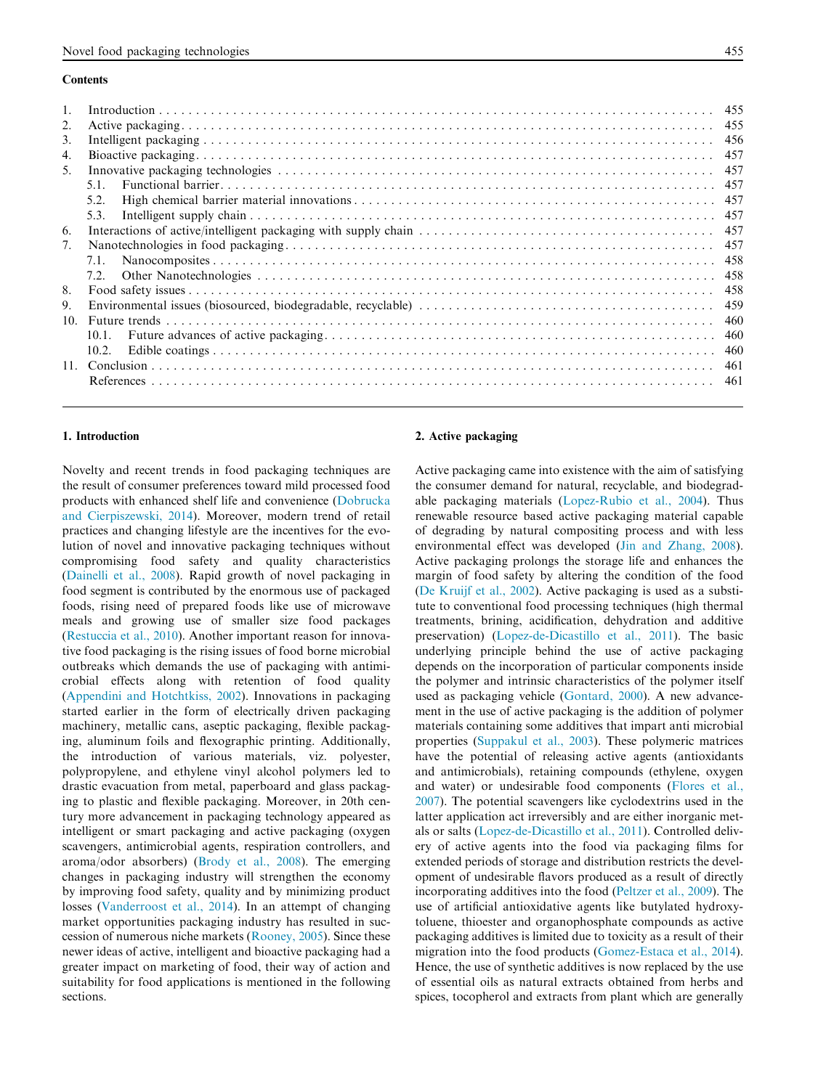#### **Contents**

| $\mathbf{1}$ .  |          |     |  |
|-----------------|----------|-----|--|
| 2.              |          |     |  |
| 3.              |          | 456 |  |
| 4.              | 457      |     |  |
| 5.              |          |     |  |
|                 | 5.1      |     |  |
|                 | 5.2.     |     |  |
|                 | 5.3.     |     |  |
| 6.              |          |     |  |
| 7.              |          |     |  |
|                 | 7.1.     | 458 |  |
|                 | 7.2.     | 458 |  |
| 8.              |          | 458 |  |
| 9.              |          | 459 |  |
| 10 <sup>1</sup> |          | 460 |  |
|                 | $10.1$ . | 460 |  |
|                 | 10.2.    | 460 |  |
|                 |          | 461 |  |
|                 |          | 461 |  |
|                 |          |     |  |

# 1. Introduction

Novelty and recent trends in food packaging techniques are the result of consumer preferences toward mild processed food products with enhanced shelf life and convenience [\(Dobrucka](#page-7-0) [and Cierpiszewski, 2014\)](#page-7-0). Moreover, modern trend of retail practices and changing lifestyle are the incentives for the evolution of novel and innovative packaging techniques without compromising food safety and quality characteristics [\(Dainelli et al., 2008\)](#page-7-0). Rapid growth of novel packaging in food segment is contributed by the enormous use of packaged foods, rising need of prepared foods like use of microwave meals and growing use of smaller size food packages [\(Restuccia et al., 2010\)](#page-8-0). Another important reason for innovative food packaging is the rising issues of food borne microbial outbreaks which demands the use of packaging with antimicrobial effects along with retention of food quality [\(Appendini and Hotchtkiss, 2002\)](#page-7-0). Innovations in packaging started earlier in the form of electrically driven packaging machinery, metallic cans, aseptic packaging, flexible packaging, aluminum foils and flexographic printing. Additionally, the introduction of various materials, viz. polyester, polypropylene, and ethylene vinyl alcohol polymers led to drastic evacuation from metal, paperboard and glass packaging to plastic and flexible packaging. Moreover, in 20th century more advancement in packaging technology appeared as intelligent or smart packaging and active packaging (oxygen scavengers, antimicrobial agents, respiration controllers, and aroma/odor absorbers) [\(Brody et al., 2008](#page-7-0)). The emerging changes in packaging industry will strengthen the economy by improving food safety, quality and by minimizing product losses ([Vanderroost et al., 2014\)](#page-8-0). In an attempt of changing market opportunities packaging industry has resulted in succession of numerous niche markets ([Rooney, 2005](#page-8-0)). Since these newer ideas of active, intelligent and bioactive packaging had a greater impact on marketing of food, their way of action and suitability for food applications is mentioned in the following sections.

# 2. Active packaging

Active packaging came into existence with the aim of satisfying the consumer demand for natural, recyclable, and biodegradable packaging materials ([Lopez-Rubio et al., 2004\)](#page-7-0). Thus renewable resource based active packaging material capable of degrading by natural compositing process and with less environmental effect was developed ([Jin and Zhang, 2008](#page-7-0)). Active packaging prolongs the storage life and enhances the margin of food safety by altering the condition of the food [\(De Kruijf et al., 2002](#page-7-0)). Active packaging is used as a substitute to conventional food processing techniques (high thermal treatments, brining, acidification, dehydration and additive preservation) [\(Lopez-de-Dicastillo et al., 2011\)](#page-7-0). The basic underlying principle behind the use of active packaging depends on the incorporation of particular components inside the polymer and intrinsic characteristics of the polymer itself used as packaging vehicle ([Gontard, 2000](#page-7-0)). A new advancement in the use of active packaging is the addition of polymer materials containing some additives that impart anti microbial properties ([Suppakul et al., 2003](#page-8-0)). These polymeric matrices have the potential of releasing active agents (antioxidants and antimicrobials), retaining compounds (ethylene, oxygen and water) or undesirable food components [\(Flores et al.,](#page-7-0) [2007](#page-7-0)). The potential scavengers like cyclodextrins used in the latter application act irreversibly and are either inorganic metals or salts ([Lopez-de-Dicastillo et al., 2011](#page-7-0)). Controlled delivery of active agents into the food via packaging films for extended periods of storage and distribution restricts the development of undesirable flavors produced as a result of directly incorporating additives into the food ([Peltzer et al., 2009\)](#page-8-0). The use of artificial antioxidative agents like butylated hydroxytoluene, thioester and organophosphate compounds as active packaging additives is limited due to toxicity as a result of their migration into the food products [\(Gomez-Estaca et al., 2014](#page-7-0)). Hence, the use of synthetic additives is now replaced by the use of essential oils as natural extracts obtained from herbs and spices, tocopherol and extracts from plant which are generally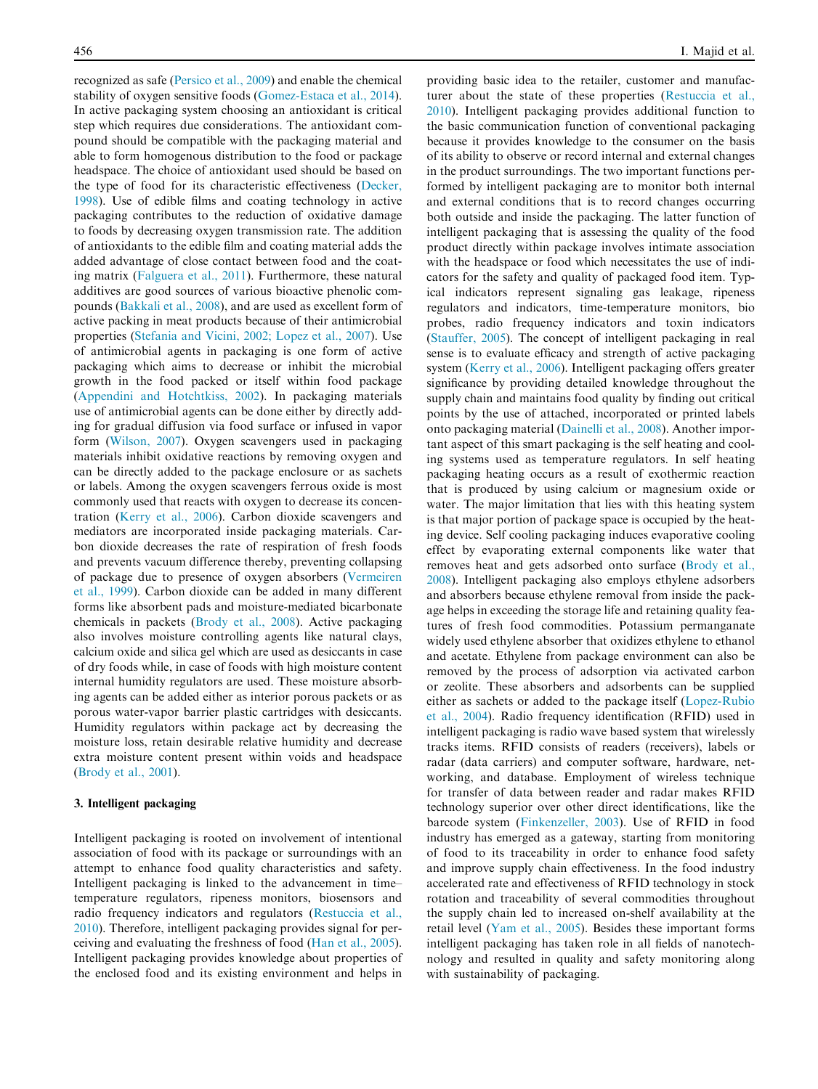recognized as safe ([Persico et al., 2009](#page-8-0)) and enable the chemical stability of oxygen sensitive foods ([Gomez-Estaca et al., 2014](#page-7-0)). In active packaging system choosing an antioxidant is critical step which requires due considerations. The antioxidant compound should be compatible with the packaging material and able to form homogenous distribution to the food or package headspace. The choice of antioxidant used should be based on the type of food for its characteristic effectiveness ([Decker,](#page-7-0) [1998\)](#page-7-0). Use of edible films and coating technology in active packaging contributes to the reduction of oxidative damage to foods by decreasing oxygen transmission rate. The addition of antioxidants to the edible film and coating material adds the added advantage of close contact between food and the coating matrix ([Falguera et al., 2011\)](#page-7-0). Furthermore, these natural additives are good sources of various bioactive phenolic compounds [\(Bakkali et al., 2008](#page-7-0)), and are used as excellent form of active packing in meat products because of their antimicrobial properties [\(Stefania and Vicini, 2002; Lopez et al., 2007\)](#page-8-0). Use of antimicrobial agents in packaging is one form of active packaging which aims to decrease or inhibit the microbial growth in the food packed or itself within food package ([Appendini and Hotchtkiss, 2002](#page-7-0)). In packaging materials use of antimicrobial agents can be done either by directly adding for gradual diffusion via food surface or infused in vapor form ([Wilson, 2007\)](#page-8-0). Oxygen scavengers used in packaging materials inhibit oxidative reactions by removing oxygen and can be directly added to the package enclosure or as sachets or labels. Among the oxygen scavengers ferrous oxide is most commonly used that reacts with oxygen to decrease its concentration [\(Kerry et al., 2006\)](#page-7-0). Carbon dioxide scavengers and mediators are incorporated inside packaging materials. Carbon dioxide decreases the rate of respiration of fresh foods and prevents vacuum difference thereby, preventing collapsing of package due to presence of oxygen absorbers ([Vermeiren](#page-8-0) [et al., 1999](#page-8-0)). Carbon dioxide can be added in many different forms like absorbent pads and moisture-mediated bicarbonate chemicals in packets [\(Brody et al., 2008](#page-7-0)). Active packaging also involves moisture controlling agents like natural clays, calcium oxide and silica gel which are used as desiccants in case of dry foods while, in case of foods with high moisture content internal humidity regulators are used. These moisture absorbing agents can be added either as interior porous packets or as porous water-vapor barrier plastic cartridges with desiccants. Humidity regulators within package act by decreasing the moisture loss, retain desirable relative humidity and decrease extra moisture content present within voids and headspace ([Brody et al., 2001](#page-7-0)).

#### 3. Intelligent packaging

Intelligent packaging is rooted on involvement of intentional association of food with its package or surroundings with an attempt to enhance food quality characteristics and safety. Intelligent packaging is linked to the advancement in time– temperature regulators, ripeness monitors, biosensors and radio frequency indicators and regulators [\(Restuccia et al.,](#page-8-0) [2010\)](#page-8-0). Therefore, intelligent packaging provides signal for perceiving and evaluating the freshness of food ([Han et al., 2005](#page-7-0)). Intelligent packaging provides knowledge about properties of the enclosed food and its existing environment and helps in

providing basic idea to the retailer, customer and manufacturer about the state of these properties [\(Restuccia et al.,](#page-8-0) [2010\)](#page-8-0). Intelligent packaging provides additional function to the basic communication function of conventional packaging because it provides knowledge to the consumer on the basis of its ability to observe or record internal and external changes in the product surroundings. The two important functions performed by intelligent packaging are to monitor both internal and external conditions that is to record changes occurring both outside and inside the packaging. The latter function of intelligent packaging that is assessing the quality of the food product directly within package involves intimate association with the headspace or food which necessitates the use of indicators for the safety and quality of packaged food item. Typical indicators represent signaling gas leakage, ripeness regulators and indicators, time-temperature monitors, bio probes, radio frequency indicators and toxin indicators ([Stauffer, 2005](#page-8-0)). The concept of intelligent packaging in real sense is to evaluate efficacy and strength of active packaging system ([Kerry et al., 2006](#page-7-0)). Intelligent packaging offers greater significance by providing detailed knowledge throughout the supply chain and maintains food quality by finding out critical points by the use of attached, incorporated or printed labels onto packaging material ([Dainelli et al., 2008](#page-7-0)). Another important aspect of this smart packaging is the self heating and cooling systems used as temperature regulators. In self heating packaging heating occurs as a result of exothermic reaction that is produced by using calcium or magnesium oxide or water. The major limitation that lies with this heating system is that major portion of package space is occupied by the heating device. Self cooling packaging induces evaporative cooling effect by evaporating external components like water that removes heat and gets adsorbed onto surface [\(Brody et al.,](#page-7-0) [2008\)](#page-7-0). Intelligent packaging also employs ethylene adsorbers and absorbers because ethylene removal from inside the package helps in exceeding the storage life and retaining quality features of fresh food commodities. Potassium permanganate widely used ethylene absorber that oxidizes ethylene to ethanol and acetate. Ethylene from package environment can also be removed by the process of adsorption via activated carbon or zeolite. These absorbers and adsorbents can be supplied either as sachets or added to the package itself [\(Lopez-Rubio](#page-7-0) [et al., 2004](#page-7-0)). Radio frequency identification (RFID) used in intelligent packaging is radio wave based system that wirelessly tracks items. RFID consists of readers (receivers), labels or radar (data carriers) and computer software, hardware, networking, and database. Employment of wireless technique for transfer of data between reader and radar makes RFID technology superior over other direct identifications, like the barcode system ([Finkenzeller, 2003\)](#page-7-0). Use of RFID in food industry has emerged as a gateway, starting from monitoring of food to its traceability in order to enhance food safety and improve supply chain effectiveness. In the food industry accelerated rate and effectiveness of RFID technology in stock rotation and traceability of several commodities throughout the supply chain led to increased on-shelf availability at the retail level [\(Yam et al., 2005\)](#page-8-0). Besides these important forms intelligent packaging has taken role in all fields of nanotechnology and resulted in quality and safety monitoring along with sustainability of packaging.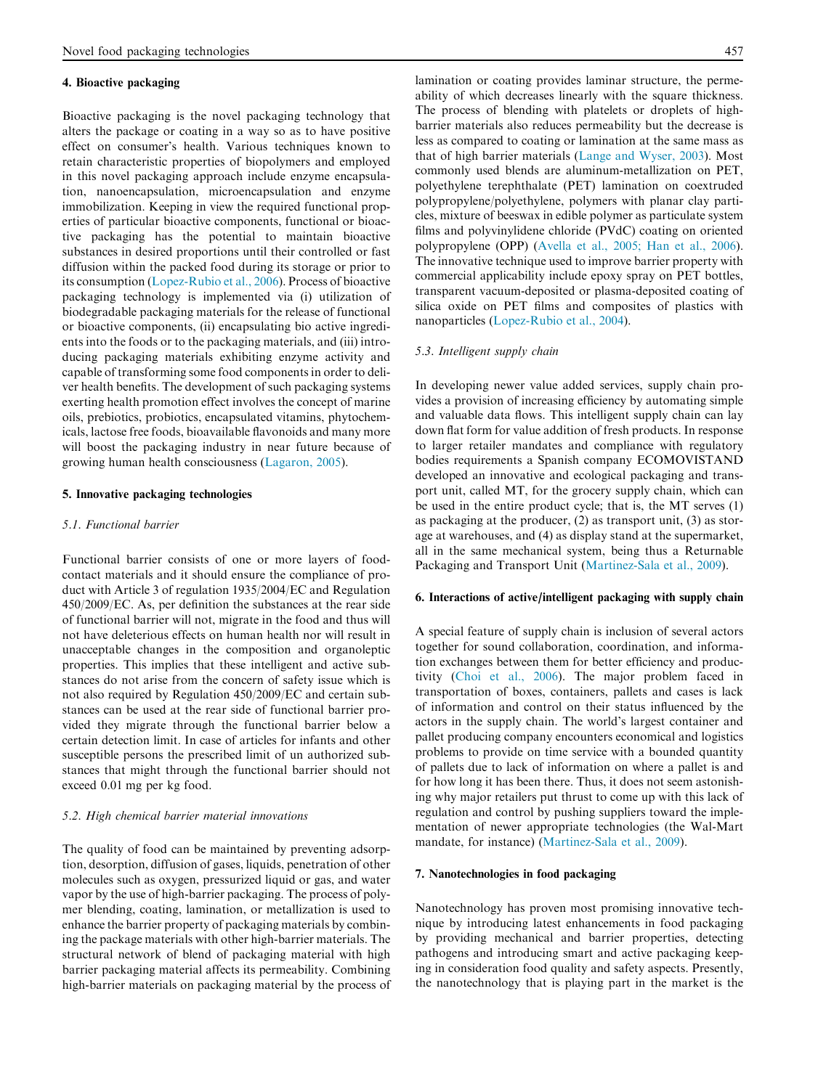## 4. Bioactive packaging

Bioactive packaging is the novel packaging technology that alters the package or coating in a way so as to have positive effect on consumer's health. Various techniques known to retain characteristic properties of biopolymers and employed in this novel packaging approach include enzyme encapsulation, nanoencapsulation, microencapsulation and enzyme immobilization. Keeping in view the required functional properties of particular bioactive components, functional or bioactive packaging has the potential to maintain bioactive substances in desired proportions until their controlled or fast diffusion within the packed food during its storage or prior to its consumption [\(Lopez-Rubio et al., 2006\)](#page-8-0). Process of bioactive packaging technology is implemented via (i) utilization of biodegradable packaging materials for the release of functional or bioactive components, (ii) encapsulating bio active ingredients into the foods or to the packaging materials, and (iii) introducing packaging materials exhibiting enzyme activity and capable of transforming some food components in order to deliver health benefits. The development of such packaging systems exerting health promotion effect involves the concept of marine oils, prebiotics, probiotics, encapsulated vitamins, phytochemicals, lactose free foods, bioavailable flavonoids and many more will boost the packaging industry in near future because of growing human health consciousness ([Lagaron, 2005](#page-7-0)).

# 5. Innovative packaging technologies

#### 5.1. Functional barrier

Functional barrier consists of one or more layers of foodcontact materials and it should ensure the compliance of product with Article 3 of regulation 1935/2004/EC and Regulation 450/2009/EC. As, per definition the substances at the rear side of functional barrier will not, migrate in the food and thus will not have deleterious effects on human health nor will result in unacceptable changes in the composition and organoleptic properties. This implies that these intelligent and active substances do not arise from the concern of safety issue which is not also required by Regulation 450/2009/EC and certain substances can be used at the rear side of functional barrier provided they migrate through the functional barrier below a certain detection limit. In case of articles for infants and other susceptible persons the prescribed limit of un authorized substances that might through the functional barrier should not exceed 0.01 mg per kg food.

#### 5.2. High chemical barrier material innovations

The quality of food can be maintained by preventing adsorption, desorption, diffusion of gases, liquids, penetration of other molecules such as oxygen, pressurized liquid or gas, and water vapor by the use of high-barrier packaging. The process of polymer blending, coating, lamination, or metallization is used to enhance the barrier property of packaging materials by combining the package materials with other high-barrier materials. The structural network of blend of packaging material with high barrier packaging material affects its permeability. Combining high-barrier materials on packaging material by the process of lamination or coating provides laminar structure, the permeability of which decreases linearly with the square thickness. The process of blending with platelets or droplets of highbarrier materials also reduces permeability but the decrease is less as compared to coating or lamination at the same mass as that of high barrier materials [\(Lange and Wyser, 2003\)](#page-7-0). Most commonly used blends are aluminum-metallization on PET, polyethylene terephthalate (PET) lamination on coextruded polypropylene/polyethylene, polymers with planar clay particles, mixture of beeswax in edible polymer as particulate system films and polyvinylidene chloride (PVdC) coating on oriented polypropylene (OPP) ([Avella et al., 2005; Han et al., 2006](#page-7-0)). The innovative technique used to improve barrier property with commercial applicability include epoxy spray on PET bottles, transparent vacuum-deposited or plasma-deposited coating of silica oxide on PET films and composites of plastics with nanoparticles [\(Lopez-Rubio et al., 2004](#page-7-0)).

#### 5.3. Intelligent supply chain

In developing newer value added services, supply chain provides a provision of increasing efficiency by automating simple and valuable data flows. This intelligent supply chain can lay down flat form for value addition of fresh products. In response to larger retailer mandates and compliance with regulatory bodies requirements a Spanish company ECOMOVISTAND developed an innovative and ecological packaging and transport unit, called MT, for the grocery supply chain, which can be used in the entire product cycle; that is, the MT serves (1) as packaging at the producer, (2) as transport unit, (3) as storage at warehouses, and (4) as display stand at the supermarket, all in the same mechanical system, being thus a Returnable Packaging and Transport Unit ([Martinez-Sala et al., 2009\)](#page-8-0).

#### 6. Interactions of active/intelligent packaging with supply chain

A special feature of supply chain is inclusion of several actors together for sound collaboration, coordination, and information exchanges between them for better efficiency and productivity ([Choi et al., 2006](#page-7-0)). The major problem faced in transportation of boxes, containers, pallets and cases is lack of information and control on their status influenced by the actors in the supply chain. The world's largest container and pallet producing company encounters economical and logistics problems to provide on time service with a bounded quantity of pallets due to lack of information on where a pallet is and for how long it has been there. Thus, it does not seem astonishing why major retailers put thrust to come up with this lack of regulation and control by pushing suppliers toward the implementation of newer appropriate technologies (the Wal-Mart mandate, for instance) [\(Martinez-Sala et al., 2009](#page-8-0)).

#### 7. Nanotechnologies in food packaging

Nanotechnology has proven most promising innovative technique by introducing latest enhancements in food packaging by providing mechanical and barrier properties, detecting pathogens and introducing smart and active packaging keeping in consideration food quality and safety aspects. Presently, the nanotechnology that is playing part in the market is the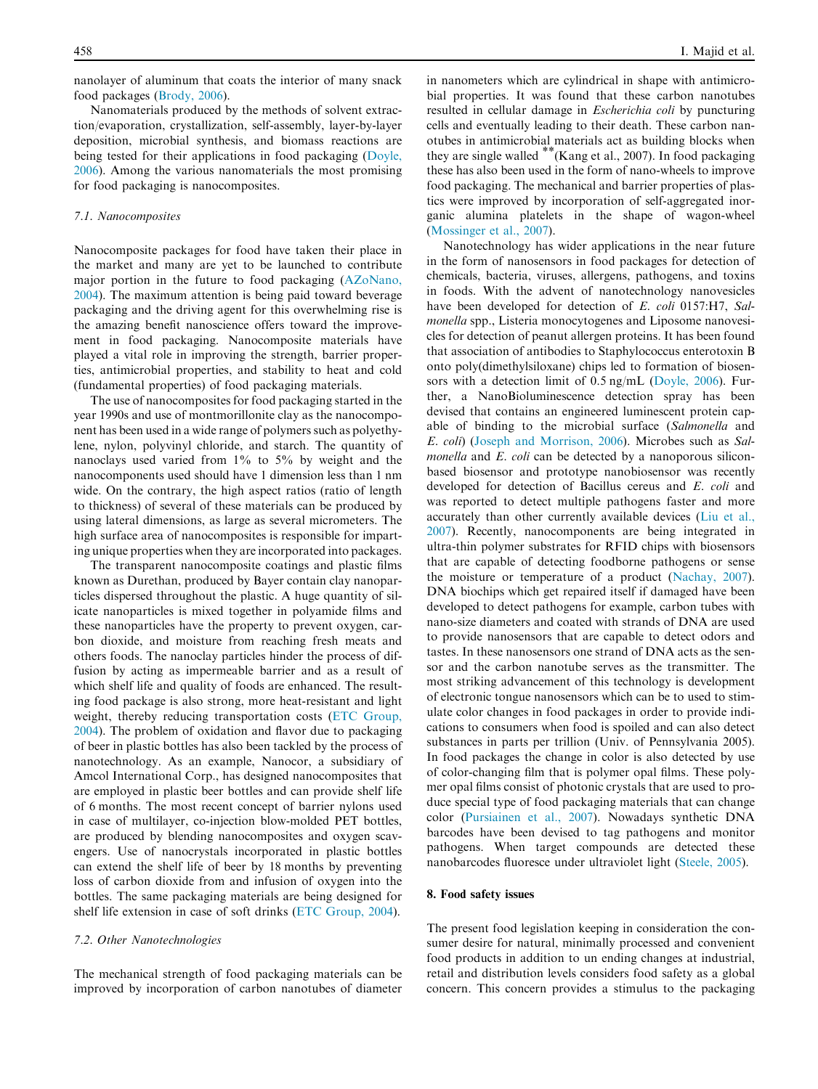nanolayer of aluminum that coats the interior of many snack food packages [\(Brody, 2006](#page-7-0)).

Nanomaterials produced by the methods of solvent extraction/evaporation, crystallization, self-assembly, layer-by-layer deposition, microbial synthesis, and biomass reactions are being tested for their applications in food packaging [\(Doyle,](#page-7-0) [2006\)](#page-7-0). Among the various nanomaterials the most promising for food packaging is nanocomposites.

#### 7.1. Nanocomposites

Nanocomposite packages for food have taken their place in the market and many are yet to be launched to contribute major portion in the future to food packaging ([AZoNano,](#page-7-0) [2004\)](#page-7-0). The maximum attention is being paid toward beverage packaging and the driving agent for this overwhelming rise is the amazing benefit nanoscience offers toward the improvement in food packaging. Nanocomposite materials have played a vital role in improving the strength, barrier properties, antimicrobial properties, and stability to heat and cold (fundamental properties) of food packaging materials.

The use of nanocomposites for food packaging started in the year 1990s and use of montmorillonite clay as the nanocomponent has been used in a wide range of polymers such as polyethylene, nylon, polyvinyl chloride, and starch. The quantity of nanoclays used varied from 1% to 5% by weight and the nanocomponents used should have 1 dimension less than 1 nm wide. On the contrary, the high aspect ratios (ratio of length to thickness) of several of these materials can be produced by using lateral dimensions, as large as several micrometers. The high surface area of nanocomposites is responsible for imparting unique properties when they are incorporated into packages.

The transparent nanocomposite coatings and plastic films known as Durethan, produced by Bayer contain clay nanoparticles dispersed throughout the plastic. A huge quantity of silicate nanoparticles is mixed together in polyamide films and these nanoparticles have the property to prevent oxygen, carbon dioxide, and moisture from reaching fresh meats and others foods. The nanoclay particles hinder the process of diffusion by acting as impermeable barrier and as a result of which shelf life and quality of foods are enhanced. The resulting food package is also strong, more heat-resistant and light weight, thereby reducing transportation costs [\(ETC Group,](#page-7-0) [2004\)](#page-7-0). The problem of oxidation and flavor due to packaging of beer in plastic bottles has also been tackled by the process of nanotechnology. As an example, Nanocor, a subsidiary of Amcol International Corp., has designed nanocomposites that are employed in plastic beer bottles and can provide shelf life of 6 months. The most recent concept of barrier nylons used in case of multilayer, co-injection blow-molded PET bottles, are produced by blending nanocomposites and oxygen scavengers. Use of nanocrystals incorporated in plastic bottles can extend the shelf life of beer by 18 months by preventing loss of carbon dioxide from and infusion of oxygen into the bottles. The same packaging materials are being designed for shelf life extension in case of soft drinks ([ETC Group, 2004](#page-7-0)).

#### 7.2. Other Nanotechnologies

The mechanical strength of food packaging materials can be improved by incorporation of carbon nanotubes of diameter

in nanometers which are cylindrical in shape with antimicrobial properties. It was found that these carbon nanotubes resulted in cellular damage in Escherichia coli by puncturing cells and eventually leading to their death. These carbon nanotubes in antimicrobial materials act as building blocks when they are single walled \*\*(Kang et al., 2007). In food packaging these has also been used in the form of nano-wheels to improve food packaging. The mechanical and barrier properties of plastics were improved by incorporation of self-aggregated inorganic alumina platelets in the shape of wagon-wheel ([Mossinger et al., 2007](#page-8-0)).

Nanotechnology has wider applications in the near future in the form of nanosensors in food packages for detection of chemicals, bacteria, viruses, allergens, pathogens, and toxins in foods. With the advent of nanotechnology nanovesicles have been developed for detection of E. coli 0157:H7, Salmonella spp., Listeria monocytogenes and Liposome nanovesicles for detection of peanut allergen proteins. It has been found that association of antibodies to Staphylococcus enterotoxin B onto poly(dimethylsiloxane) chips led to formation of biosensors with a detection limit of 0.5 ng/mL [\(Doyle, 2006](#page-7-0)). Further, a NanoBioluminescence detection spray has been devised that contains an engineered luminescent protein capable of binding to the microbial surface (Salmonella and E. coli) ([Joseph and Morrison, 2006\)](#page-7-0). Microbes such as Salmonella and E. coli can be detected by a nanoporous siliconbased biosensor and prototype nanobiosensor was recently developed for detection of Bacillus cereus and E. coli and was reported to detect multiple pathogens faster and more accurately than other currently available devices ([Liu et al.,](#page-7-0) [2007\)](#page-7-0). Recently, nanocomponents are being integrated in ultra-thin polymer substrates for RFID chips with biosensors that are capable of detecting foodborne pathogens or sense the moisture or temperature of a product ([Nachay, 2007](#page-8-0)). DNA biochips which get repaired itself if damaged have been developed to detect pathogens for example, carbon tubes with nano-size diameters and coated with strands of DNA are used to provide nanosensors that are capable to detect odors and tastes. In these nanosensors one strand of DNA acts as the sensor and the carbon nanotube serves as the transmitter. The most striking advancement of this technology is development of electronic tongue nanosensors which can be to used to stimulate color changes in food packages in order to provide indications to consumers when food is spoiled and can also detect substances in parts per trillion (Univ. of Pennsylvania 2005). In food packages the change in color is also detected by use of color-changing film that is polymer opal films. These polymer opal films consist of photonic crystals that are used to produce special type of food packaging materials that can change color ([Pursiainen et al., 2007\)](#page-8-0). Nowadays synthetic DNA barcodes have been devised to tag pathogens and monitor pathogens. When target compounds are detected these nanobarcodes fluoresce under ultraviolet light ([Steele, 2005](#page-8-0)).

#### 8. Food safety issues

The present food legislation keeping in consideration the consumer desire for natural, minimally processed and convenient food products in addition to un ending changes at industrial, retail and distribution levels considers food safety as a global concern. This concern provides a stimulus to the packaging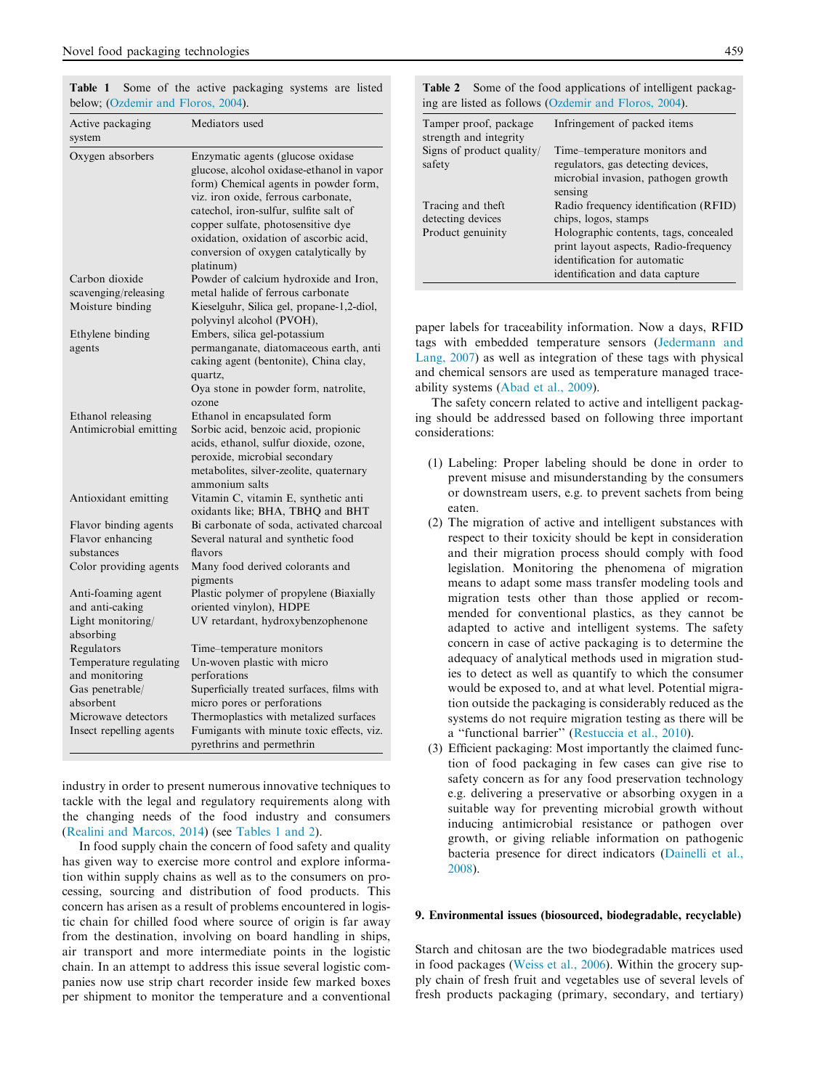| Active packaging<br>system                        | Mediators used                                                                                                                                                                                                                                                                                                                    |
|---------------------------------------------------|-----------------------------------------------------------------------------------------------------------------------------------------------------------------------------------------------------------------------------------------------------------------------------------------------------------------------------------|
| Oxygen absorbers                                  | Enzymatic agents (glucose oxidase<br>glucose, alcohol oxidase-ethanol in vapor<br>form) Chemical agents in powder form,<br>viz. iron oxide, ferrous carbonate,<br>catechol, iron-sulfur, sulfite salt of<br>copper sulfate, photosensitive dye<br>oxidation, oxidation of ascorbic acid,<br>conversion of oxygen catalytically by |
| Carbon dioxide                                    | platinum)<br>Powder of calcium hydroxide and Iron,                                                                                                                                                                                                                                                                                |
| scavenging/releasing                              | metal halide of ferrous carbonate                                                                                                                                                                                                                                                                                                 |
| Moisture binding                                  | Kieselguhr, Silica gel, propane-1,2-diol,<br>polyvinyl alcohol (PVOH),                                                                                                                                                                                                                                                            |
| Ethylene binding                                  | Embers, silica gel-potassium                                                                                                                                                                                                                                                                                                      |
| agents                                            | permanganate, diatomaceous earth, anti                                                                                                                                                                                                                                                                                            |
|                                                   | caking agent (bentonite), China clay,<br>quartz,                                                                                                                                                                                                                                                                                  |
|                                                   | Oya stone in powder form, natrolite,<br>ozone                                                                                                                                                                                                                                                                                     |
| Ethanol releasing                                 | Ethanol in encapsulated form                                                                                                                                                                                                                                                                                                      |
| Antimicrobial emitting                            | Sorbic acid, benzoic acid, propionic<br>acids, ethanol, sulfur dioxide, ozone,<br>peroxide, microbial secondary<br>metabolites, silver-zeolite, quaternary<br>ammonium salts                                                                                                                                                      |
| Antioxidant emitting                              | Vitamin C, vitamin E, synthetic anti<br>oxidants like; BHA, TBHQ and BHT                                                                                                                                                                                                                                                          |
| Flavor binding agents                             | Bi carbonate of soda, activated charcoal                                                                                                                                                                                                                                                                                          |
| Flavor enhancing                                  | Several natural and synthetic food                                                                                                                                                                                                                                                                                                |
| substances                                        | flavors                                                                                                                                                                                                                                                                                                                           |
| Color providing agents                            | Many food derived colorants and                                                                                                                                                                                                                                                                                                   |
| Anti-foaming agent                                | pigments<br>Plastic polymer of propylene (Biaxially                                                                                                                                                                                                                                                                               |
| and anti-caking<br>Light monitoring/<br>absorbing | oriented vinylon), HDPE<br>UV retardant, hydroxybenzophenone                                                                                                                                                                                                                                                                      |
| Regulators                                        | Time-temperature monitors                                                                                                                                                                                                                                                                                                         |
| Temperature regulating                            | Un-woven plastic with micro                                                                                                                                                                                                                                                                                                       |
| and monitoring                                    | perforations                                                                                                                                                                                                                                                                                                                      |
| Gas penetrable/                                   | Superficially treated surfaces, films with                                                                                                                                                                                                                                                                                        |
| absorbent                                         | micro pores or perforations                                                                                                                                                                                                                                                                                                       |
| Microwave detectors<br>Insect repelling agents    | Thermoplastics with metalized surfaces<br>Fumigants with minute toxic effects, viz.<br>pyrethrins and permethrin                                                                                                                                                                                                                  |

Table 1 Some of the active packaging systems are listed below; [\(Ozdemir and Floros, 2004](#page-8-0)).

industry in order to present numerous innovative techniques to tackle with the legal and regulatory requirements along with the changing needs of the food industry and consumers [\(Realini and Marcos, 2014\)](#page-8-0) (see Tables 1 and 2).

In food supply chain the concern of food safety and quality has given way to exercise more control and explore information within supply chains as well as to the consumers on processing, sourcing and distribution of food products. This concern has arisen as a result of problems encountered in logistic chain for chilled food where source of origin is far away from the destination, involving on board handling in ships, air transport and more intermediate points in the logistic chain. In an attempt to address this issue several logistic companies now use strip chart recorder inside few marked boxes per shipment to monitor the temperature and a conventional

| $\mu$ are instead as follows (Ozdening and Floros, 2004). |                                                                                                                                                   |  |  |
|-----------------------------------------------------------|---------------------------------------------------------------------------------------------------------------------------------------------------|--|--|
| Tamper proof, package<br>strength and integrity           | Infringement of packed items                                                                                                                      |  |  |
| Signs of product quality/                                 | Time-temperature monitors and                                                                                                                     |  |  |
| safety                                                    | regulators, gas detecting devices,                                                                                                                |  |  |
|                                                           | microbial invasion, pathogen growth<br>sensing                                                                                                    |  |  |
| Tracing and theft<br>detecting devices                    | Radio frequency identification (RFID)<br>chips, logos, stamps                                                                                     |  |  |
| Product genuinity                                         | Holographic contents, tags, concealed<br>print layout aspects, Radio-frequency<br>identification for automatic<br>identification and data capture |  |  |

**Table 2** Some of the food applications of intelligent packaging are listed as follows ([Ozdemir and Floros, 2004](#page-8-0)).

paper labels for traceability information. Now a days, RFID tags with embedded temperature sensors [\(Jedermann and](#page-7-0) [Lang, 2007\)](#page-7-0) as well as integration of these tags with physical and chemical sensors are used as temperature managed traceability systems ([Abad et al., 2009\)](#page-7-0).

The safety concern related to active and intelligent packaging should be addressed based on following three important considerations:

- (1) Labeling: Proper labeling should be done in order to prevent misuse and misunderstanding by the consumers or downstream users, e.g. to prevent sachets from being eaten.
- (2) The migration of active and intelligent substances with respect to their toxicity should be kept in consideration and their migration process should comply with food legislation. Monitoring the phenomena of migration means to adapt some mass transfer modeling tools and migration tests other than those applied or recommended for conventional plastics, as they cannot be adapted to active and intelligent systems. The safety concern in case of active packaging is to determine the adequacy of analytical methods used in migration studies to detect as well as quantify to which the consumer would be exposed to, and at what level. Potential migration outside the packaging is considerably reduced as the systems do not require migration testing as there will be a ''functional barrier'' ([Restuccia et al., 2010](#page-8-0)).
- (3) Efficient packaging: Most importantly the claimed function of food packaging in few cases can give rise to safety concern as for any food preservation technology e.g. delivering a preservative or absorbing oxygen in a suitable way for preventing microbial growth without inducing antimicrobial resistance or pathogen over growth, or giving reliable information on pathogenic bacteria presence for direct indicators [\(Dainelli et al.,](#page-7-0) [2008](#page-7-0)).

#### 9. Environmental issues (biosourced, biodegradable, recyclable)

Starch and chitosan are the two biodegradable matrices used in food packages ([Weiss et al., 2006](#page-8-0)). Within the grocery supply chain of fresh fruit and vegetables use of several levels of fresh products packaging (primary, secondary, and tertiary)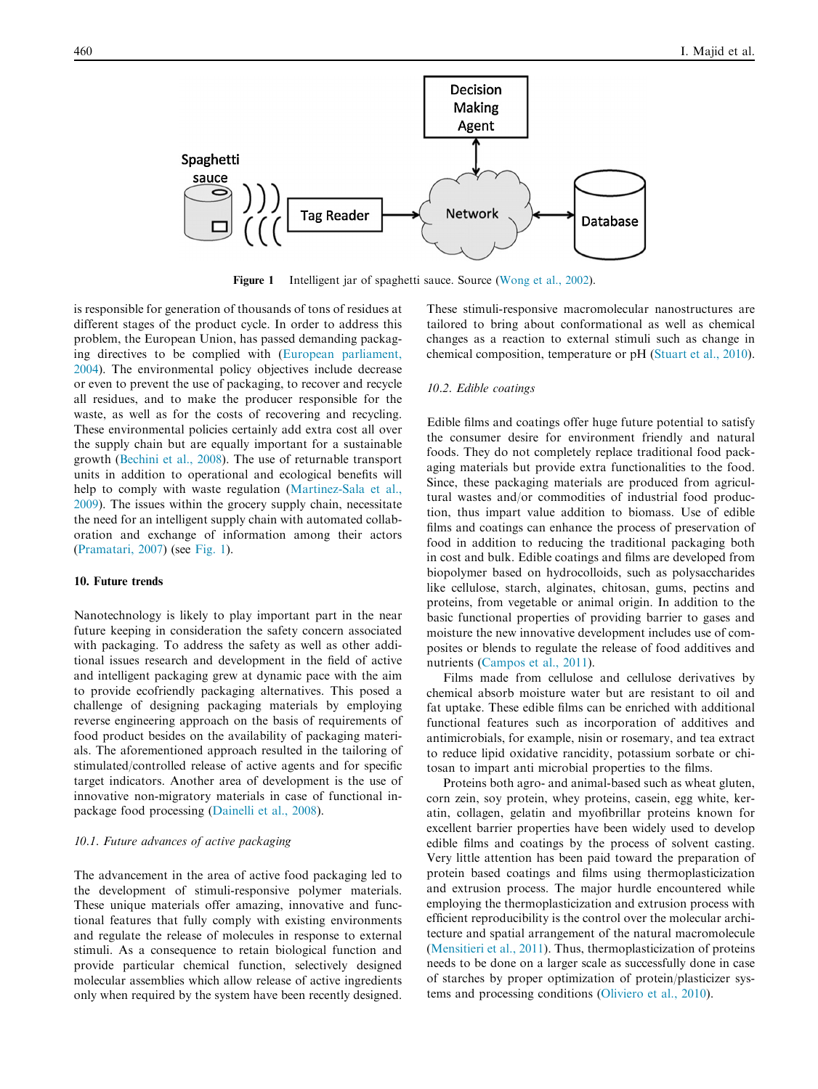

Figure 1 Intelligent jar of spaghetti sauce. Source ([Wong et al., 2002\)](#page-8-0).

is responsible for generation of thousands of tons of residues at different stages of the product cycle. In order to address this problem, the European Union, has passed demanding packaging directives to be complied with ([European parliament,](#page-7-0) [2004\)](#page-7-0). The environmental policy objectives include decrease or even to prevent the use of packaging, to recover and recycle all residues, and to make the producer responsible for the waste, as well as for the costs of recovering and recycling. These environmental policies certainly add extra cost all over the supply chain but are equally important for a sustainable growth [\(Bechini et al., 2008\)](#page-7-0). The use of returnable transport units in addition to operational and ecological benefits will help to comply with waste regulation [\(Martinez-Sala et al.,](#page-8-0) [2009\)](#page-8-0). The issues within the grocery supply chain, necessitate the need for an intelligent supply chain with automated collaboration and exchange of information among their actors ([Pramatari, 2007\)](#page-8-0) (see Fig. 1).

#### 10. Future trends

Nanotechnology is likely to play important part in the near future keeping in consideration the safety concern associated with packaging. To address the safety as well as other additional issues research and development in the field of active and intelligent packaging grew at dynamic pace with the aim to provide ecofriendly packaging alternatives. This posed a challenge of designing packaging materials by employing reverse engineering approach on the basis of requirements of food product besides on the availability of packaging materials. The aforementioned approach resulted in the tailoring of stimulated/controlled release of active agents and for specific target indicators. Another area of development is the use of innovative non-migratory materials in case of functional inpackage food processing ([Dainelli et al., 2008\)](#page-7-0).

#### 10.1. Future advances of active packaging

The advancement in the area of active food packaging led to the development of stimuli-responsive polymer materials. These unique materials offer amazing, innovative and functional features that fully comply with existing environments and regulate the release of molecules in response to external stimuli. As a consequence to retain biological function and provide particular chemical function, selectively designed molecular assemblies which allow release of active ingredients only when required by the system have been recently designed. These stimuli-responsive macromolecular nanostructures are tailored to bring about conformational as well as chemical changes as a reaction to external stimuli such as change in chemical composition, temperature or pH ([Stuart et al., 2010\)](#page-8-0).

#### 10.2. Edible coatings

Edible films and coatings offer huge future potential to satisfy the consumer desire for environment friendly and natural foods. They do not completely replace traditional food packaging materials but provide extra functionalities to the food. Since, these packaging materials are produced from agricultural wastes and/or commodities of industrial food production, thus impart value addition to biomass. Use of edible films and coatings can enhance the process of preservation of food in addition to reducing the traditional packaging both in cost and bulk. Edible coatings and films are developed from biopolymer based on hydrocolloids, such as polysaccharides like cellulose, starch, alginates, chitosan, gums, pectins and proteins, from vegetable or animal origin. In addition to the basic functional properties of providing barrier to gases and moisture the new innovative development includes use of composites or blends to regulate the release of food additives and nutrients ([Campos et al., 2011](#page-7-0)).

Films made from cellulose and cellulose derivatives by chemical absorb moisture water but are resistant to oil and fat uptake. These edible films can be enriched with additional functional features such as incorporation of additives and antimicrobials, for example, nisin or rosemary, and tea extract to reduce lipid oxidative rancidity, potassium sorbate or chitosan to impart anti microbial properties to the films.

Proteins both agro- and animal-based such as wheat gluten, corn zein, soy protein, whey proteins, casein, egg white, keratin, collagen, gelatin and myofibrillar proteins known for excellent barrier properties have been widely used to develop edible films and coatings by the process of solvent casting. Very little attention has been paid toward the preparation of protein based coatings and films using thermoplasticization and extrusion process. The major hurdle encountered while employing the thermoplasticization and extrusion process with efficient reproducibility is the control over the molecular architecture and spatial arrangement of the natural macromolecule ([Mensitieri et al., 2011](#page-8-0)). Thus, thermoplasticization of proteins needs to be done on a larger scale as successfully done in case of starches by proper optimization of protein/plasticizer systems and processing conditions ([Oliviero et al., 2010](#page-8-0)).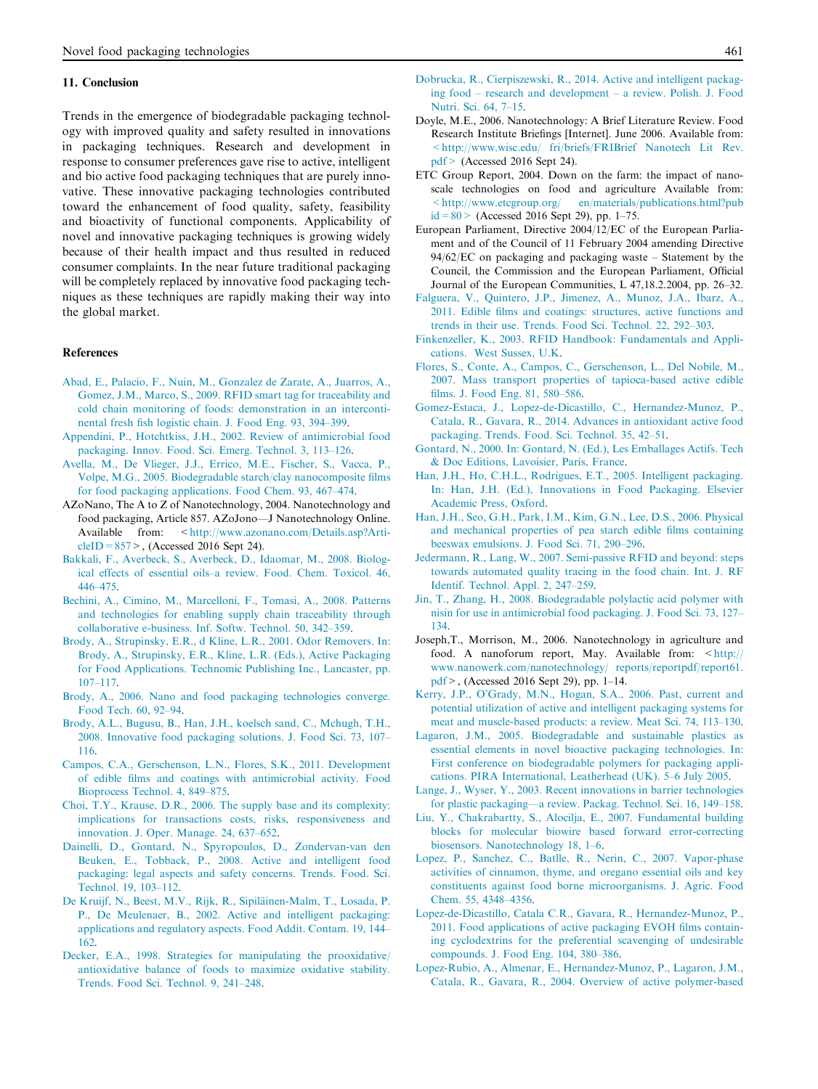#### <span id="page-7-0"></span>11. Conclusion

Trends in the emergence of biodegradable packaging technology with improved quality and safety resulted in innovations in packaging techniques. Research and development in response to consumer preferences gave rise to active, intelligent and bio active food packaging techniques that are purely innovative. These innovative packaging technologies contributed toward the enhancement of food quality, safety, feasibility and bioactivity of functional components. Applicability of novel and innovative packaging techniques is growing widely because of their health impact and thus resulted in reduced consumer complaints. In the near future traditional packaging will be completely replaced by innovative food packaging techniques as these techniques are rapidly making their way into the global market.

## References

- [Abad, E., Palacio, F., Nuin, M., Gonzalez de Zarate, A., Juarros, A.,](http://refhub.elsevier.com/S1658-077X(16)30076-5/h0005) [Gomez, J.M., Marco, S., 2009. RFID smart tag for traceability and](http://refhub.elsevier.com/S1658-077X(16)30076-5/h0005) [cold chain monitoring of foods: demonstration in an interconti](http://refhub.elsevier.com/S1658-077X(16)30076-5/h0005)[nental fresh fish logistic chain. J. Food Eng. 93, 394–399.](http://refhub.elsevier.com/S1658-077X(16)30076-5/h0005)
- [Appendini, P., Hotchtkiss, J.H., 2002. Review of antimicrobial food](http://refhub.elsevier.com/S1658-077X(16)30076-5/h0010) [packaging. Innov. Food. Sci. Emerg. Technol](http://refhub.elsevier.com/S1658-077X(16)30076-5/h0010). 3, 113–126.
- [Avella, M., De Vlieger, J.J., Errico, M.E., Fischer, S., Vacca, P.,](http://refhub.elsevier.com/S1658-077X(16)30076-5/h0015) [Volpe, M.G., 2005. Biodegradable starch/clay nanocomposite films](http://refhub.elsevier.com/S1658-077X(16)30076-5/h0015) [for food packaging applications. Food Chem. 93, 467–474.](http://refhub.elsevier.com/S1658-077X(16)30076-5/h0015)
- AZoNano, The A to Z of Nanotechnology, 2004. Nanotechnology and food packaging, Article 857. AZoJono—J Nanotechnology Online. Available from: [<http://www.azonano.com/Details.asp?Arti](http://www.azonano.com/Details.asp?ArticleID=857)[cleID=857](http://www.azonano.com/Details.asp?ArticleID=857)>, (Accessed 2016 Sept 24).
- [Bakkali, F., Averbeck, S., Averbeck, D., Idaomar, M., 2008. Biolog](http://refhub.elsevier.com/S1658-077X(16)30076-5/h0025)[ical effects of essential oils–a review. Food. Chem. Toxicol. 46,](http://refhub.elsevier.com/S1658-077X(16)30076-5/h0025) [446–475.](http://refhub.elsevier.com/S1658-077X(16)30076-5/h0025)
- [Bechini, A., Cimino, M., Marcelloni, F., Tomasi, A., 2008. Patterns](http://refhub.elsevier.com/S1658-077X(16)30076-5/h0030) [and technologies for enabling supply chain traceability through](http://refhub.elsevier.com/S1658-077X(16)30076-5/h0030) [collaborative e-business. Inf. Softw. Technol. 50, 342–359](http://refhub.elsevier.com/S1658-077X(16)30076-5/h0030).
- [Brody, A., Strupinsky, E.R., d Kline, L.R., 2001. Odor Removers. In:](http://refhub.elsevier.com/S1658-077X(16)30076-5/h0035) [Brody, A., Strupinsky, E.R., Kline, L.R. \(Eds.\), Active Packaging](http://refhub.elsevier.com/S1658-077X(16)30076-5/h0035) [for Food Applications. Technomic Publishing Inc., Lancaster, pp.](http://refhub.elsevier.com/S1658-077X(16)30076-5/h0035) [107–117.](http://refhub.elsevier.com/S1658-077X(16)30076-5/h0035)
- [Brody, A., 2006. Nano and food packaging technologies converge.](http://refhub.elsevier.com/S1658-077X(16)30076-5/h0040) [Food Tech. 60, 92–94](http://refhub.elsevier.com/S1658-077X(16)30076-5/h0040).
- [Brody, A.L., Bugusu, B., Han, J.H., koelsch sand, C., Mchugh, T.H.,](http://refhub.elsevier.com/S1658-077X(16)30076-5/h0045) [2008. Innovative food packaging solutions. J. Food Sci. 73, 107–](http://refhub.elsevier.com/S1658-077X(16)30076-5/h0045) [116.](http://refhub.elsevier.com/S1658-077X(16)30076-5/h0045)
- [Campos, C.A., Gerschenson, L.N., Flores, S.K., 2011. Development](http://refhub.elsevier.com/S1658-077X(16)30076-5/h0050) [of edible films and coatings with antimicrobial activity. Food](http://refhub.elsevier.com/S1658-077X(16)30076-5/h0050) [Bioprocess Technol](http://refhub.elsevier.com/S1658-077X(16)30076-5/h0050). 4, 849–875.
- [Choi, T.Y., Krause, D.R., 2006. The supply base and its complexity:](http://refhub.elsevier.com/S1658-077X(16)30076-5/h0055) [implications for transactions costs, risks, responsiveness and](http://refhub.elsevier.com/S1658-077X(16)30076-5/h0055) [innovation. J. Oper. Manage. 24, 637–652.](http://refhub.elsevier.com/S1658-077X(16)30076-5/h0055)
- [Dainelli, D., Gontard, N., Spyropoulos, D., Zondervan-van den](http://refhub.elsevier.com/S1658-077X(16)30076-5/h0060) [Beuken, E., Tobback, P., 2008. Active and intelligent food](http://refhub.elsevier.com/S1658-077X(16)30076-5/h0060) [packaging: legal aspects and safety concerns. Trends. Food. Sci.](http://refhub.elsevier.com/S1658-077X(16)30076-5/h0060) [Technol. 19, 103–112.](http://refhub.elsevier.com/S1658-077X(16)30076-5/h0060)
- De Kruijf, N., Beest, M.V., Rijk, R., Sipiläinen-Malm, T., Losada, P. [P., De Meulenaer, B., 2002. Active and intelligent packaging:](http://refhub.elsevier.com/S1658-077X(16)30076-5/h0065) [applications and regulatory aspects. Food Addit. Contam. 19, 144–](http://refhub.elsevier.com/S1658-077X(16)30076-5/h0065) [162.](http://refhub.elsevier.com/S1658-077X(16)30076-5/h0065)
- [Decker, E.A., 1998. Strategies for manipulating the prooxidative/](http://refhub.elsevier.com/S1658-077X(16)30076-5/h0070) [antioxidative balance of foods to maximize oxidative stability.](http://refhub.elsevier.com/S1658-077X(16)30076-5/h0070) [Trends. Food Sci. Technol. 9, 241–248](http://refhub.elsevier.com/S1658-077X(16)30076-5/h0070).
- [Dobrucka, R., Cierpiszewski, R., 2014. Active and intelligent packag](http://refhub.elsevier.com/S1658-077X(16)30076-5/h0075)[ing food – research and development – a review. Polish. J. Food](http://refhub.elsevier.com/S1658-077X(16)30076-5/h0075) [Nutri. Sci](http://refhub.elsevier.com/S1658-077X(16)30076-5/h0075). 64, 7–15.
- Doyle, M.E., 2006. Nanotechnology: A Brief Literature Review. Food Research Institute Briefings [Internet]. June 2006. Available from: [<http://www.wisc.edu/ fri/briefs/FRIBrief Nanotech Lit Rev.](http://www.wisc.edu/%20fri/briefs/FRIBrief%20Nanotech%20Lit%20Rev.pdf) [pdf>](http://www.wisc.edu/%20fri/briefs/FRIBrief%20Nanotech%20Lit%20Rev.pdf) (Accessed 2016 Sept 24).
- ETC Group Report, 2004. Down on the farm: the impact of nanoscale technologies on food and agriculture Available from:  $\leq$ http://www.etcgroup.org/ en/materials/publications.html?pub  $id = 80$  > (Accessed 2016 Sept 29), pp. 1–75.
- European Parliament, Directive 2004/12/EC of the European Parliament and of the Council of 11 February 2004 amending Directive 94/62/EC on packaging and packaging waste – Statement by the Council, the Commission and the European Parliament, Official Journal of the European Communities, L 47,18.2.2004, pp. 26–32.
- [Falguera, V., Quintero, J.P., Jimenez, A., Munoz, J.A., Ibarz, A.,](http://refhub.elsevier.com/S1658-077X(16)30076-5/h0095) [2011. Edible films and coatings: structures, active functions and](http://refhub.elsevier.com/S1658-077X(16)30076-5/h0095) [trends in their use. Trends. Food Sci. Technol. 22, 292–303](http://refhub.elsevier.com/S1658-077X(16)30076-5/h0095).
- [Finkenzeller, K., 2003. RFID Handbook: Fundamentals and Appli](http://refhub.elsevier.com/S1658-077X(16)30076-5/h0100)[cations. West Sussex, U.K.](http://refhub.elsevier.com/S1658-077X(16)30076-5/h0100)
- [Flores, S., Conte, A., Campos, C., Gerschenson, L., Del Nobile, M.,](http://refhub.elsevier.com/S1658-077X(16)30076-5/h0105) [2007. Mass transport properties of tapioca-based active edible](http://refhub.elsevier.com/S1658-077X(16)30076-5/h0105) [films. J. Food Eng. 81, 580–586](http://refhub.elsevier.com/S1658-077X(16)30076-5/h0105).
- [Gomez-Estaca, J., Lopez-de-Dicastillo, C., Hernandez-Munoz, P.,](http://refhub.elsevier.com/S1658-077X(16)30076-5/h0110) [Catala, R., Gavara, R., 2014. Advances in antioxidant active food](http://refhub.elsevier.com/S1658-077X(16)30076-5/h0110) [packaging. Trends. Food. Sci. Technol. 35, 42–51.](http://refhub.elsevier.com/S1658-077X(16)30076-5/h0110)
- [Gontard, N., 2000. In: Gontard, N. \(Ed.\), Les Emballages Actifs. Tech](http://refhub.elsevier.com/S1658-077X(16)30076-5/h0115) [& Doc Editions, Lavoisier, Paris, France.](http://refhub.elsevier.com/S1658-077X(16)30076-5/h0115)
- [Han, J.H., Ho, C.H.L., Rodrigues, E.T., 2005. Intelligent packaging.](http://refhub.elsevier.com/S1658-077X(16)30076-5/h0120) [In: Han, J.H. \(Ed.\), Innovations in Food Packaging. Elsevier](http://refhub.elsevier.com/S1658-077X(16)30076-5/h0120) [Academic Press, Oxford](http://refhub.elsevier.com/S1658-077X(16)30076-5/h0120).
- [Han, J.H., Seo, G.H., Park, I.M., Kim, G.N., Lee, D.S., 2006. Physical](http://refhub.elsevier.com/S1658-077X(16)30076-5/h0125) [and mechanical properties of pea starch edible films containing](http://refhub.elsevier.com/S1658-077X(16)30076-5/h0125) [beeswax emulsions. J. Food Sci. 71, 290–296.](http://refhub.elsevier.com/S1658-077X(16)30076-5/h0125)
- [Jedermann, R., Lang, W., 2007. Semi-passive RFID and beyond: steps](http://refhub.elsevier.com/S1658-077X(16)30076-5/h0130) [towards automated quality tracing in the food chain. Int. J. RF](http://refhub.elsevier.com/S1658-077X(16)30076-5/h0130) [Identif. Technol. Appl. 2, 247–259](http://refhub.elsevier.com/S1658-077X(16)30076-5/h0130).
- [Jin, T., Zhang, H., 2008. Biodegradable polylactic acid polymer with](http://refhub.elsevier.com/S1658-077X(16)30076-5/h0135) [nisin for use in antimicrobial food packaging. J. Food Sci. 73, 127–](http://refhub.elsevier.com/S1658-077X(16)30076-5/h0135) [134.](http://refhub.elsevier.com/S1658-077X(16)30076-5/h0135)
- Joseph,T., Morrison, M., 2006. Nanotechnology in agriculture and food. A nanoforum report, May. Available from:  $\lt^{\hbox{http://}}$  $\lt^{\hbox{http://}}$  $\lt^{\hbox{http://}}$ [www.nanowerk.com/nanotechnology/ reports/reportpdf/report61.](http://www.nanowerk.com/nanotechnology/%20reports/reportpdf/report61.pdf) [pdf](http://www.nanowerk.com/nanotechnology/%20reports/reportpdf/report61.pdf)>, (Accessed 2016 Sept 29), pp. 1–14.
- [Kerry, J.P., O'Grady, M.N., Hogan, S.A., 2006. Past, current and](http://refhub.elsevier.com/S1658-077X(16)30076-5/h0145) [potential utilization of active and intelligent packaging systems for](http://refhub.elsevier.com/S1658-077X(16)30076-5/h0145) [meat and muscle-based products: a review. Meat Sci. 74, 113–130](http://refhub.elsevier.com/S1658-077X(16)30076-5/h0145).
- [Lagaron, J.M., 2005. Biodegradable and sustainable plastics as](http://refhub.elsevier.com/S1658-077X(16)30076-5/h0150) [essential elements in novel bioactive packaging technologies. In:](http://refhub.elsevier.com/S1658-077X(16)30076-5/h0150) [First conference on biodegradable polymers for packaging appli](http://refhub.elsevier.com/S1658-077X(16)30076-5/h0150)[cations. PIRA International, Leatherhead \(UK\). 5–6 July 2005.](http://refhub.elsevier.com/S1658-077X(16)30076-5/h0150)
- [Lange, J., Wyser, Y., 2003. Recent innovations in barrier technologies](http://refhub.elsevier.com/S1658-077X(16)30076-5/h0155) [for plastic packaging—a review. Packag. Technol. Sci. 16, 149–158](http://refhub.elsevier.com/S1658-077X(16)30076-5/h0155).
- [Liu, Y., Chakrabartty, S., Alocilja, E., 2007. Fundamental building](http://refhub.elsevier.com/S1658-077X(16)30076-5/h0160) [blocks for molecular biowire based forward error-correcting](http://refhub.elsevier.com/S1658-077X(16)30076-5/h0160) [biosensors. Nanotechnology 18, 1–6](http://refhub.elsevier.com/S1658-077X(16)30076-5/h0160).
- [Lopez, P., Sanchez, C., Batlle, R., Nerin, C., 2007. Vapor-phase](http://refhub.elsevier.com/S1658-077X(16)30076-5/h0165) [activities of cinnamon, thyme, and oregano essential oils and key](http://refhub.elsevier.com/S1658-077X(16)30076-5/h0165) [constituents against food borne microorganisms. J. Agric. Food](http://refhub.elsevier.com/S1658-077X(16)30076-5/h0165) [Chem. 55, 4348–4356](http://refhub.elsevier.com/S1658-077X(16)30076-5/h0165).
- [Lopez-de-Dicastillo, Catala C.R., Gavara, R., Hernandez-Munoz, P.,](http://refhub.elsevier.com/S1658-077X(16)30076-5/h0170) [2011. Food applications of active packaging EVOH films contain](http://refhub.elsevier.com/S1658-077X(16)30076-5/h0170)[ing cyclodextrins for the preferential scavenging of undesirable](http://refhub.elsevier.com/S1658-077X(16)30076-5/h0170) [compounds. J. Food Eng. 104, 380–386](http://refhub.elsevier.com/S1658-077X(16)30076-5/h0170).
- [Lopez-Rubio, A., Almenar, E., Hernandez-Munoz, P., Lagaron, J.M.,](http://refhub.elsevier.com/S1658-077X(16)30076-5/h0175) [Catala, R., Gavara, R., 2004. Overview of active polymer-based](http://refhub.elsevier.com/S1658-077X(16)30076-5/h0175)